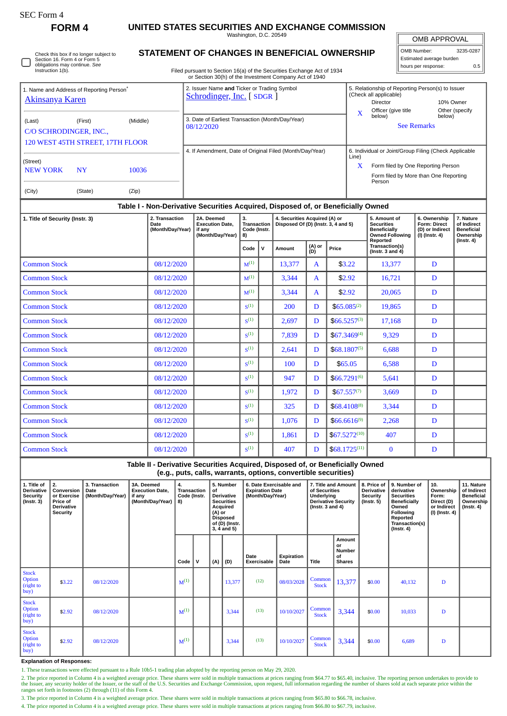**FORM 4 UNITED STATES SECURITIES AND EXCHANGE COMMISSION**

Washington, D.C. 20549

OMB APPROVAL

|                          | OMB Number:<br>3235-0287 |     |  |  |  |  |  |  |
|--------------------------|--------------------------|-----|--|--|--|--|--|--|
| Estimated average burden |                          |     |  |  |  |  |  |  |
| hours per response:      |                          | 0.5 |  |  |  |  |  |  |

Check this box if no longer subject to Section 16. Form 4 or Form 5 obligations may continue. *See* Instruction 1(b).  $\Box$ 

## **STATEMENT OF CHANGES IN BENEFICIAL OWNERSHIP**

Filed pursuant to Section 16(a) of the Securities Exchange Act of 1934 or Section 30(h) of the Investment Company Act of 1940

| 1. Name and Address of Reporting Person <sup>®</sup><br>Akinsanya Karen                     |         |            |                                            |                                                                | 2. Issuer Name and Ticker or Trading Symbol<br>Schrodinger, Inc. [SDGR]                                                                         |                                                |               |                                                                      |                    | X                                                   | 5. Relationship of Reporting Person(s) to Issuer<br>(Check all applicable)<br><b>Director</b><br>Officer (give title | 10% Owner                                                                          |                                                                            |                                                                                |  |
|---------------------------------------------------------------------------------------------|---------|------------|--------------------------------------------|----------------------------------------------------------------|-------------------------------------------------------------------------------------------------------------------------------------------------|------------------------------------------------|---------------|----------------------------------------------------------------------|--------------------|-----------------------------------------------------|----------------------------------------------------------------------------------------------------------------------|------------------------------------------------------------------------------------|----------------------------------------------------------------------------|--------------------------------------------------------------------------------|--|
| (First)<br>(Middle)<br>(Last)<br>C/O SCHRODINGER, INC.,<br>120 WEST 45TH STREET, 17TH FLOOR |         |            |                                            | 3. Date of Earliest Transaction (Month/Day/Year)<br>08/12/2020 |                                                                                                                                                 |                                                |               |                                                                      |                    |                                                     |                                                                                                                      | Other (specify<br>below)<br>below)<br><b>See Remarks</b>                           |                                                                            |                                                                                |  |
|                                                                                             |         |            |                                            | 4. If Amendment, Date of Original Filed (Month/Day/Year)       |                                                                                                                                                 |                                                |               |                                                                      |                    |                                                     |                                                                                                                      |                                                                                    | 6. Individual or Joint/Group Filing (Check Applicable                      |                                                                                |  |
| (Street)                                                                                    |         |            |                                            |                                                                |                                                                                                                                                 |                                                |               |                                                                      |                    |                                                     |                                                                                                                      | Form filed by One Reporting Person                                                 |                                                                            |                                                                                |  |
| <b>NEW YORK</b><br><b>NY</b><br>10036                                                       |         |            |                                            |                                                                |                                                                                                                                                 |                                                |               |                                                                      |                    |                                                     | Form filed by More than One Reporting<br>Person                                                                      |                                                                                    |                                                                            |                                                                                |  |
| (City)                                                                                      | (State) | (Zip)      |                                            |                                                                |                                                                                                                                                 |                                                |               |                                                                      |                    |                                                     |                                                                                                                      |                                                                                    |                                                                            |                                                                                |  |
|                                                                                             |         |            |                                            |                                                                | Table I - Non-Derivative Securities Acquired, Disposed of, or Beneficially Owned                                                                |                                                |               |                                                                      |                    |                                                     |                                                                                                                      |                                                                                    |                                                                            |                                                                                |  |
| 1. Title of Security (Instr. 3)                                                             |         |            | 2. Transaction<br>Date<br>(Month/Day/Year) |                                                                | 2A. Deemed<br><b>Execution Date,</b><br>if any<br>(Month/Day/Year)                                                                              | 3.<br><b>Transaction</b><br>Code (Instr.<br>8) |               | 4. Securities Acquired (A) or<br>Disposed Of (D) (Instr. 3, 4 and 5) |                    |                                                     |                                                                                                                      | 5. Amount of<br><b>Securities</b><br><b>Beneficially</b><br><b>Owned Following</b> | 6. Ownership<br><b>Form: Direct</b><br>(D) or Indirect<br>$(I)$ (Instr. 4) | 7. Nature<br>of Indirect<br><b>Beneficial</b><br>Ownership<br>$($ lnstr. 4 $)$ |  |
|                                                                                             |         |            |                                            | V<br>Code                                                      |                                                                                                                                                 | Amount                                         | (A) or<br>(D) | Price                                                                |                    | Reported<br>Transaction(s)<br>(Instr. $3$ and $4$ ) |                                                                                                                      |                                                                                    |                                                                            |                                                                                |  |
| <b>Common Stock</b>                                                                         |         |            | 08/12/2020                                 |                                                                |                                                                                                                                                 |                                                |               | 13,377                                                               | $\mathbf{A}$       | \$3.22                                              |                                                                                                                      | 13,377                                                                             | D                                                                          |                                                                                |  |
| <b>Common Stock</b>                                                                         |         |            | 08/12/2020                                 |                                                                |                                                                                                                                                 | $M^{(1)}$                                      |               | 3,344                                                                | $\mathbf{A}$       | \$2.92                                              |                                                                                                                      | 16,721                                                                             | D                                                                          |                                                                                |  |
| <b>Common Stock</b>                                                                         |         | 08/12/2020 |                                            |                                                                | $M^{(1)}$                                                                                                                                       |                                                | 3,344         | $\mathbf{A}$                                                         | \$2.92             |                                                     | 20,065                                                                                                               | D                                                                                  |                                                                            |                                                                                |  |
| <b>Common Stock</b>                                                                         |         | 08/12/2020 |                                            |                                                                | S <sup>(1)</sup>                                                                                                                                |                                                | 200           | D                                                                    | $$65.085^{(2)}$$   |                                                     | 19,865                                                                                                               | D                                                                                  |                                                                            |                                                                                |  |
| <b>Common Stock</b>                                                                         |         | 08/12/2020 |                                            |                                                                |                                                                                                                                                 |                                                | 2,697         | D                                                                    | $$66.5257^{(3)}$$  |                                                     | 17,168                                                                                                               | D                                                                                  |                                                                            |                                                                                |  |
| <b>Common Stock</b>                                                                         |         | 08/12/2020 |                                            |                                                                |                                                                                                                                                 |                                                | 7,839         | $$67.3469^{(4)}$<br>D                                                |                    |                                                     | 9,329                                                                                                                | D                                                                                  |                                                                            |                                                                                |  |
| <b>Common Stock</b>                                                                         |         |            | 08/12/2020                                 |                                                                |                                                                                                                                                 |                                                |               | 2,641                                                                | D                  |                                                     | $$68.1807^{(5)}$$<br>6,688                                                                                           |                                                                                    | D                                                                          |                                                                                |  |
| <b>Common Stock</b>                                                                         |         |            | 08/12/2020                                 |                                                                |                                                                                                                                                 |                                                |               | 100                                                                  | \$65.05<br>D       |                                                     |                                                                                                                      | 6,588                                                                              | D                                                                          |                                                                                |  |
| <b>Common Stock</b>                                                                         |         |            | 08/12/2020                                 |                                                                |                                                                                                                                                 | S <sup>(1)</sup>                               |               | 947                                                                  | D                  | \$66.7291(6)                                        |                                                                                                                      | 5,641                                                                              | D                                                                          |                                                                                |  |
| <b>Common Stock</b>                                                                         |         |            | 08/12/2020                                 |                                                                |                                                                                                                                                 | $S^{(1)}$                                      |               | 1,972                                                                | D                  | $$67.557^{(7)}$                                     |                                                                                                                      | 3,669                                                                              | D                                                                          |                                                                                |  |
| <b>Common Stock</b>                                                                         |         |            | 08/12/2020                                 |                                                                |                                                                                                                                                 | S <sub>1</sub>                                 |               | 325                                                                  | D                  | $$68,4108^{(8)}$$                                   |                                                                                                                      | 3,344                                                                              | D                                                                          |                                                                                |  |
| <b>Common Stock</b>                                                                         |         |            | 08/12/2020                                 |                                                                |                                                                                                                                                 | S <sub>1</sub>                                 |               | 1,076                                                                | D                  | $$66.6616^{(9)}$$                                   |                                                                                                                      | 2,268                                                                              | D                                                                          |                                                                                |  |
| <b>Common Stock</b>                                                                         |         |            | 08/12/2020                                 |                                                                |                                                                                                                                                 | $S^{(1)}$                                      |               | 1,861                                                                | D                  | $$67.5272^{(10)}$                                   |                                                                                                                      | 407                                                                                | D                                                                          |                                                                                |  |
| <b>Common Stock</b>                                                                         |         | 08/12/2020 |                                            |                                                                | $S^{(1)}$                                                                                                                                       |                                                | 407           | D                                                                    | $$68.1725^{(11)}$$ |                                                     | $\bf{0}$                                                                                                             | D                                                                                  |                                                                            |                                                                                |  |
|                                                                                             |         |            |                                            |                                                                | Table II - Derivative Securities Acquired, Disposed of, or Beneficially Owned<br>(e.g., puts, calls, warrants, options, convertible securities) |                                                |               |                                                                      |                    |                                                     |                                                                                                                      |                                                                                    |                                                                            |                                                                                |  |

| $\mathbf{v} = \mathbf{v}$ , we can be a set of $\mathbf{v} = \mathbf{v}$ |                                                                                     |                                            |                                                                    |                                                                                                                                                                                    |              |     |                                                                       |                     |                                                                                                            |                        |                                                            |                                                                                                                                         |                                                                          |                                                                                 |  |
|--------------------------------------------------------------------------|-------------------------------------------------------------------------------------|--------------------------------------------|--------------------------------------------------------------------|------------------------------------------------------------------------------------------------------------------------------------------------------------------------------------|--------------|-----|-----------------------------------------------------------------------|---------------------|------------------------------------------------------------------------------------------------------------|------------------------|------------------------------------------------------------|-----------------------------------------------------------------------------------------------------------------------------------------|--------------------------------------------------------------------------|---------------------------------------------------------------------------------|--|
| 1. Title of<br><b>Derivative</b><br><b>Security</b><br>(Instr. 3)        | 2.<br>Conversion<br>or Exercise<br>Price of<br><b>Derivative</b><br><b>Security</b> | 3. Transaction<br>Date<br>(Month/Day/Year) | 3A. Deemed<br><b>Execution Date,</b><br>if any<br>(Month/Day/Year) | 5. Number<br>4.<br>Transaction<br>of<br><b>Derivative</b><br>Code (Instr.<br><b>Securities</b><br>8)<br>Acquired<br>(A) or<br><b>Disposed</b><br>of (D) (Instr.<br>$3, 4$ and $5)$ |              |     | 6. Date Exercisable and<br><b>Expiration Date</b><br>(Month/Day/Year) |                     | 7. Title and Amount<br>of Securities<br>Underlying<br><b>Derivative Security</b><br>$($ lnstr. 3 and 4 $)$ |                        | 8. Price of<br><b>Derivative</b><br>Security<br>(Instr. 5) | 9. Number of<br>derivative<br><b>Securities</b><br>Beneficially<br>Owned<br>Following<br>Reported<br>Transaction(s)<br>$($ Instr. 4 $)$ | 10.<br>Ownership<br>Form:<br>Direct (D)<br>or Indirect<br>(I) (Instr. 4) | 11. Nature<br>of Indirect<br><b>Beneficial</b><br>Ownership<br>$($ Instr. 4 $)$ |  |
|                                                                          |                                                                                     |                                            |                                                                    | Code                                                                                                                                                                               | $\mathsf{v}$ | (A) | (D)                                                                   | Date<br>Exercisable | Expiration<br>Date                                                                                         | <b>Title</b>           | Amount<br>or<br><b>Number</b><br>οf<br><b>Shares</b>       |                                                                                                                                         |                                                                          |                                                                                 |  |
| <b>Stock</b><br>Option<br>(right to<br>buy)                              | \$3.22                                                                              | 08/12/2020                                 |                                                                    | $M^{(1)}$                                                                                                                                                                          |              |     | 13,377                                                                | (12)                | 08/03/2028                                                                                                 | Common<br><b>Stock</b> | 13,377                                                     | \$0.00                                                                                                                                  | 40,132                                                                   | D                                                                               |  |
| <b>Stock</b><br>Option<br>right to<br>buy)                               | \$2.92                                                                              | 08/12/2020                                 |                                                                    | $M^{(1)}$                                                                                                                                                                          |              |     | 3,344                                                                 | (13)                | 10/10/2027                                                                                                 | Common<br><b>Stock</b> | 3,344                                                      | \$0.00                                                                                                                                  | 10,033                                                                   | D                                                                               |  |
| <b>Stock</b><br><b>Option</b><br>right to<br> buy                        | \$2.92                                                                              | 08/12/2020                                 |                                                                    | $M^{(1)}$                                                                                                                                                                          |              |     | 3,344                                                                 | (13)                | 10/10/2027                                                                                                 | Common<br><b>Stock</b> | 3,344                                                      | \$0.00                                                                                                                                  | 6,689                                                                    | D                                                                               |  |

## **Explanation of Responses:**

1. These transactions were effected pursuant to a Rule 10b5-1 trading plan adopted by the reporting person on May 29, 2020.

2. The price reported in Column 4 is a weighted average price. These shares were sold in multiple transactions at prices ranging from \$64.77 to \$65.40, inclusive. The reporting person undertakes to provide to the Issuer, any security holder of the Issuer, or the staff of the U.S. Securities and Exchange Commission, upon request, full information regarding the number of shares sold at each separate price within the ranges set fo

3. The price reported in Column 4 is a weighted average price. These shares were sold in multiple transactions at prices ranging from \$65.80 to \$66.78, inclusive.

4. The price reported in Column 4 is a weighted average price. These shares were sold in multiple transactions at prices ranging from \$66.80 to \$67.79, inclusive.